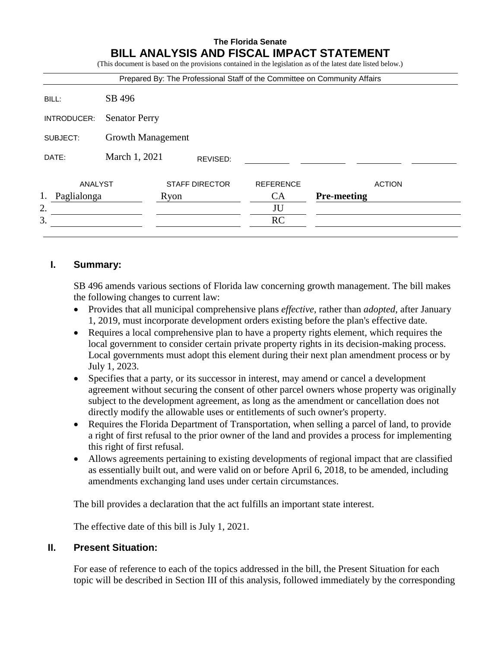# **The Florida Senate BILL ANALYSIS AND FISCAL IMPACT STATEMENT**

(This document is based on the provisions contained in the legislation as of the latest date listed below.)

|                   |                          |                       | Prepared By: The Professional Staff of the Committee on Community Affairs |                    |  |
|-------------------|--------------------------|-----------------------|---------------------------------------------------------------------------|--------------------|--|
| BILL:             | SB 496                   |                       |                                                                           |                    |  |
| INTRODUCER:       | <b>Senator Perry</b>     |                       |                                                                           |                    |  |
| SUBJECT:          | <b>Growth Management</b> |                       |                                                                           |                    |  |
| DATE:             | March 1, 2021            | REVISED:              |                                                                           |                    |  |
| ANALYST           |                          | <b>STAFF DIRECTOR</b> | <b>REFERENCE</b>                                                          | <b>ACTION</b>      |  |
| 1.<br>Paglialonga |                          | Ryon                  | CA                                                                        | <b>Pre-meeting</b> |  |
| 2.                |                          |                       | JU                                                                        |                    |  |
| 3.                |                          |                       | <b>RC</b>                                                                 |                    |  |

# **I. Summary:**

SB 496 amends various sections of Florida law concerning growth management. The bill makes the following changes to current law:

- Provides that all municipal comprehensive plans *effective*, rather than *adopted*, after January 1, 2019, must incorporate development orders existing before the plan's effective date.
- Requires a local comprehensive plan to have a property rights element, which requires the local government to consider certain private property rights in its decision-making process. Local governments must adopt this element during their next plan amendment process or by July 1, 2023.
- Specifies that a party, or its successor in interest, may amend or cancel a development agreement without securing the consent of other parcel owners whose property was originally subject to the development agreement, as long as the amendment or cancellation does not directly modify the allowable uses or entitlements of such owner's property.
- Requires the Florida Department of Transportation, when selling a parcel of land, to provide a right of first refusal to the prior owner of the land and provides a process for implementing this right of first refusal.
- Allows agreements pertaining to existing developments of regional impact that are classified as essentially built out, and were valid on or before April 6, 2018, to be amended, including amendments exchanging land uses under certain circumstances.

The bill provides a declaration that the act fulfills an important state interest.

The effective date of this bill is July 1, 2021.

## **II. Present Situation:**

For ease of reference to each of the topics addressed in the bill, the Present Situation for each topic will be described in Section III of this analysis, followed immediately by the corresponding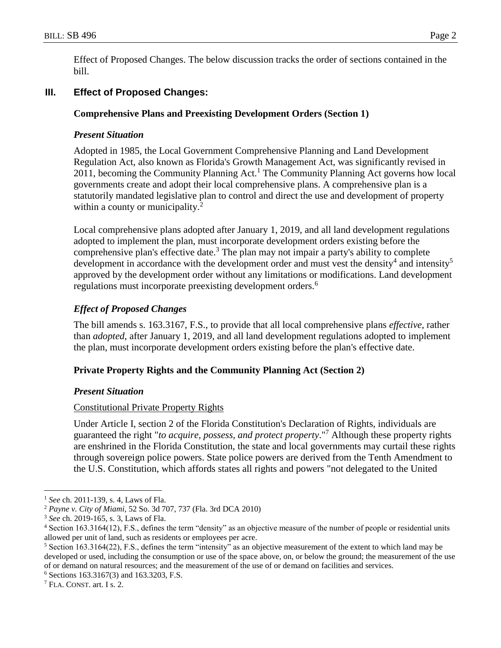Effect of Proposed Changes. The below discussion tracks the order of sections contained in the bill.

# **III. Effect of Proposed Changes:**

## **Comprehensive Plans and Preexisting Development Orders (Section 1)**

## *Present Situation*

Adopted in 1985, the Local Government Comprehensive Planning and Land Development Regulation Act, also known as Florida's Growth Management Act, was significantly revised in 2011, becoming the Community Planning Act.<sup>1</sup> The Community Planning Act governs how local governments create and adopt their local comprehensive plans. A comprehensive plan is a statutorily mandated legislative plan to control and direct the use and development of property within a county or municipality.<sup>2</sup>

Local comprehensive plans adopted after January 1, 2019, and all land development regulations adopted to implement the plan, must incorporate development orders existing before the comprehensive plan's effective date.<sup>3</sup> The plan may not impair a party's ability to complete development in accordance with the development order and must vest the density<sup>4</sup> and intensity<sup>5</sup> approved by the development order without any limitations or modifications. Land development regulations must incorporate preexisting development orders.<sup>6</sup>

## *Effect of Proposed Changes*

The bill amends s. 163.3167, F.S., to provide that all local comprehensive plans *effective*, rather than *adopted*, after January 1, 2019, and all land development regulations adopted to implement the plan, must incorporate development orders existing before the plan's effective date.

## **Private Property Rights and the Community Planning Act (Section 2)**

#### *Present Situation*

#### Constitutional Private Property Rights

Under Article I, section 2 of the Florida Constitution's Declaration of Rights, individuals are guaranteed the right "*to acquire, possess, and protect property*." <sup>7</sup> Although these property rights are enshrined in the Florida Constitution, the state and local governments may curtail these rights through sovereign police powers. State police powers are derived from the Tenth Amendment to the U.S. Constitution, which affords states all rights and powers "not delegated to the United

<sup>1</sup> *See* ch. 2011-139, s. 4*,* Laws of Fla.

<sup>2</sup> *Payne v. City of Miami*, 52 So. 3d 707, 737 (Fla. 3rd DCA 2010)

<sup>3</sup> *See* ch. 2019-165, s. 3, Laws of Fla.

<sup>4</sup> Section 163.3164(12), F.S., defines the term "density" as an objective measure of the number of people or residential units allowed per unit of land, such as residents or employees per acre.

<sup>5</sup> Section 163.3164(22), F.S., defines the term "intensity" as an objective measurement of the extent to which land may be developed or used, including the consumption or use of the space above, on, or below the ground; the measurement of the use of or demand on natural resources; and the measurement of the use of or demand on facilities and services.

<sup>6</sup> Sections 163.3167(3) and 163.3203, F.S.

<sup>7</sup> FLA. CONST. art. I s. 2.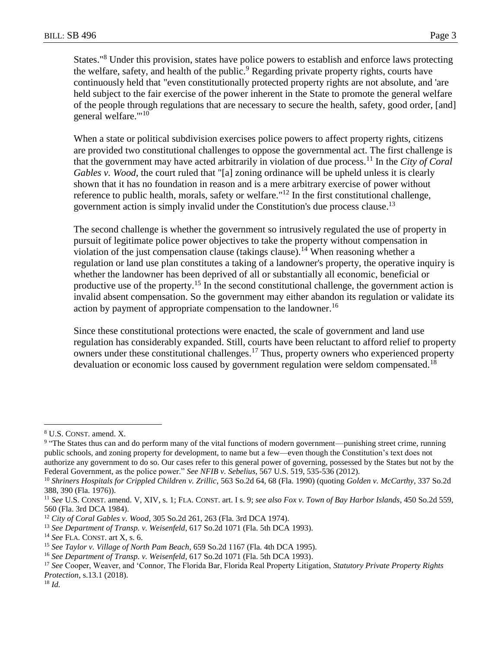States."<sup>8</sup> Under this provision, states have police powers to establish and enforce laws protecting the welfare, safety, and health of the public.<sup>9</sup> Regarding private property rights, courts have continuously held that "even constitutionally protected property rights are not absolute, and 'are held subject to the fair exercise of the power inherent in the State to promote the general welfare of the people through regulations that are necessary to secure the health, safety, good order, [and] general welfare."'<sup>10</sup>

When a state or political subdivision exercises police powers to affect property rights, citizens are provided two constitutional challenges to oppose the governmental act. The first challenge is that the government may have acted arbitrarily in violation of due process.<sup>11</sup> In the *City of Coral Gables v. Wood*, the court ruled that "[a] zoning ordinance will be upheld unless it is clearly shown that it has no foundation in reason and is a mere arbitrary exercise of power without reference to public health, morals, safety or welfare."<sup>12</sup> In the first constitutional challenge, government action is simply invalid under the Constitution's due process clause.<sup>13</sup>

The second challenge is whether the government so intrusively regulated the use of property in pursuit of legitimate police power objectives to take the property without compensation in violation of the just compensation clause (takings clause).<sup>14</sup> When reasoning whether a regulation or land use plan constitutes a taking of a landowner's property, the operative inquiry is whether the landowner has been deprived of all or substantially all economic, beneficial or productive use of the property.<sup>15</sup> In the second constitutional challenge, the government action is invalid absent compensation. So the government may either abandon its regulation or validate its action by payment of appropriate compensation to the landowner.<sup>16</sup>

Since these constitutional protections were enacted, the scale of government and land use regulation has considerably expanded. Still, courts have been reluctant to afford relief to property owners under these constitutional challenges.<sup>17</sup> Thus, property owners who experienced property devaluation or economic loss caused by government regulation were seldom compensated.<sup>18</sup>

<sup>8</sup> U.S. CONST. amend. X.

<sup>&</sup>lt;sup>9</sup> "The States thus can and do perform many of the vital functions of modern government—punishing street crime, running public schools, and zoning property for development, to name but a few—even though the Constitution's text does not authorize any government to do so. Our cases refer to this general power of governing, possessed by the States but not by the Federal Government, as the police power." *See NFIB v. Sebelius*, 567 U.S. 519, 535-536 (2012).

<sup>10</sup> *Shriners Hospitals for Crippled Children v. Zrillic*, 563 So.2d 64, 68 (Fla. 1990) (quoting *Golden v. McCarthy*, 337 So.2d 388, 390 (Fla. 1976)).

<sup>11</sup> *See* U.S. CONST. amend. V, XIV, s. 1; FLA. CONST. art. I s. 9; *see also Fox v. Town of Bay Harbor Islands*, 450 So.2d 559, 560 (Fla. 3rd DCA 1984).

<sup>12</sup> *City of Coral Gables v. Wood*, 305 So.2d 261, 263 (Fla. 3rd DCA 1974).

<sup>13</sup> *See Department of Transp. v. Weisenfeld*, 617 So.2d 1071 (Fla. 5th DCA 1993).

<sup>14</sup> *See* FLA. CONST. art X, s. 6.

<sup>15</sup> *See Taylor v. Village of North Pam Beach*, 659 So.2d 1167 (Fla. 4th DCA 1995).

<sup>16</sup> *See Department of Transp. v. Weisenfeld*, 617 So.2d 1071 (Fla. 5th DCA 1993).

<sup>17</sup> *See* Cooper, Weaver, and 'Connor, The Florida Bar, Florida Real Property Litigation, *Statutory Private Property Rights Protection*, s.13.1 (2018).

<sup>18</sup> *Id.*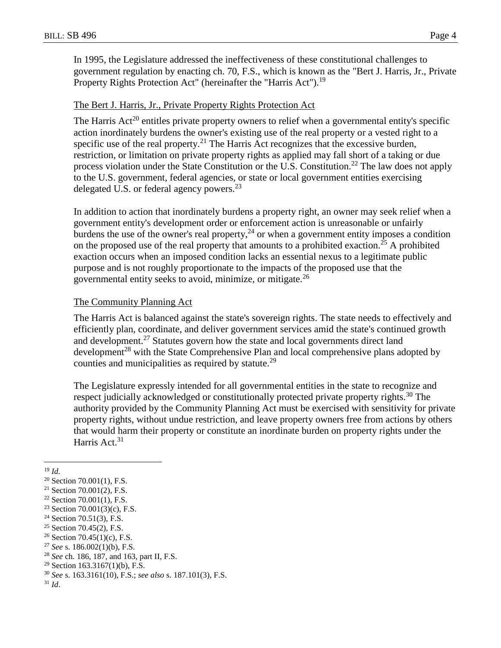In 1995, the Legislature addressed the ineffectiveness of these constitutional challenges to government regulation by enacting ch. 70, F.S., which is known as the "Bert J. Harris, Jr., Private Property Rights Protection Act" (hereinafter the "Harris Act").<sup>19</sup>

# The Bert J. Harris, Jr., Private Property Rights Protection Act

The Harris Act<sup>20</sup> entitles private property owners to relief when a governmental entity's specific action inordinately burdens the owner's existing use of the real property or a vested right to a specific use of the real property.<sup>21</sup> The Harris Act recognizes that the excessive burden, restriction, or limitation on private property rights as applied may fall short of a taking or due process violation under the State Constitution or the U.S. Constitution.<sup>22</sup> The law does not apply to the U.S. government, federal agencies, or state or local government entities exercising delegated U.S. or federal agency powers.<sup>23</sup>

In addition to action that inordinately burdens a property right, an owner may seek relief when a government entity's development order or enforcement action is unreasonable or unfairly burdens the use of the owner's real property,  $24$  or when a government entity imposes a condition on the proposed use of the real property that amounts to a prohibited exaction.<sup>25</sup> A prohibited exaction occurs when an imposed condition lacks an essential nexus to a legitimate public purpose and is not roughly proportionate to the impacts of the proposed use that the governmental entity seeks to avoid, minimize, or mitigate.<sup>26</sup>

### The Community Planning Act

The Harris Act is balanced against the state's sovereign rights. The state needs to effectively and efficiently plan, coordinate, and deliver government services amid the state's continued growth and development.<sup>27</sup> Statutes govern how the state and local governments direct land development<sup>28</sup> with the State Comprehensive Plan and local comprehensive plans adopted by counties and municipalities as required by statute.<sup>29</sup>

The Legislature expressly intended for all governmental entities in the state to recognize and respect judicially acknowledged or constitutionally protected private property rights.<sup>30</sup> The authority provided by the Community Planning Act must be exercised with sensitivity for private property rights, without undue restriction, and leave property owners free from actions by others that would harm their property or constitute an inordinate burden on property rights under the Harris Act.<sup>31</sup>

 $\overline{a}$ <sup>19</sup> *Id.*

 $20$  Section 70.001(1), F.S.

 $21$  Section 70.001(2), F.S.

 $22$  Section 70.001(1), F.S.

<sup>23</sup> Section 70.001(3)(c), F.S.

 $24$  Section 70.51(3), F.S.

<sup>&</sup>lt;sup>25</sup> Section 70.45(2), F.S.

<sup>&</sup>lt;sup>26</sup> Section 70.45(1)(c), F.S.

<sup>27</sup> *See* s. 186.002(1)(b), F.S.

<sup>28</sup> *See* ch. 186, 187, and 163, part II, F.S.

<sup>&</sup>lt;sup>29</sup> Section 163.3167(1)(b), F.S.

<sup>30</sup> *See* s. 163.3161(10), F.S.; *see also* s. 187.101(3), F.S.

<sup>31</sup> *Id*.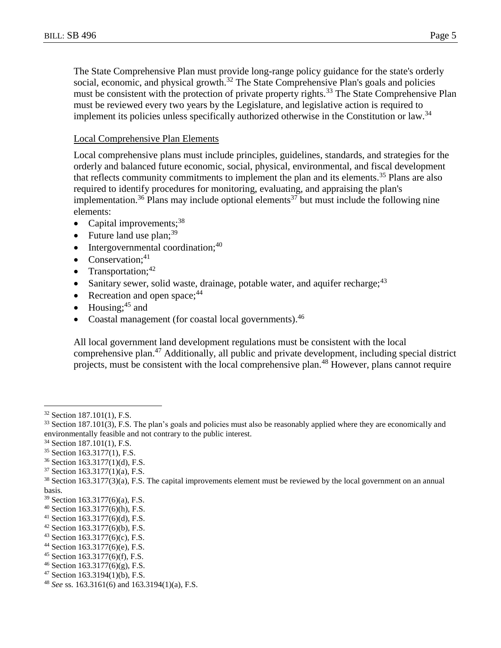The State Comprehensive Plan must provide long-range policy guidance for the state's orderly social, economic, and physical growth.<sup>32</sup> The State Comprehensive Plan's goals and policies must be consistent with the protection of private property rights.<sup>33</sup> The State Comprehensive Plan must be reviewed every two years by the Legislature, and legislative action is required to implement its policies unless specifically authorized otherwise in the Constitution or law.<sup>34</sup>

## Local Comprehensive Plan Elements

Local comprehensive plans must include principles, guidelines, standards, and strategies for the orderly and balanced future economic, social, physical, environmental, and fiscal development that reflects community commitments to implement the plan and its elements.<sup>35</sup> Plans are also required to identify procedures for monitoring, evaluating, and appraising the plan's implementation.<sup>36</sup> Plans may include optional elements<sup>37</sup> but must include the following nine elements:

- Capital improvements; $38$
- Future land use plan;<sup>39</sup>
- $\bullet$  Intergovernmental coordination;<sup>40</sup>
- Conservation; $41$
- Transportation;  $42$
- Sanitary sewer, solid waste, drainage, potable water, and aquifer recharge;  $43$
- Recreation and open space;  $44$
- $\bullet$  Housing;<sup>45</sup> and
- Coastal management (for coastal local governments).<sup>46</sup>

All local government land development regulations must be consistent with the local comprehensive plan.<sup>47</sup> Additionally, all public and private development, including special district projects, must be consistent with the local comprehensive plan.<sup>48</sup> However, plans cannot require

<sup>32</sup> Section 187.101(1), F.S.

 $33$  Section 187.101(3), F.S. The plan's goals and policies must also be reasonably applied where they are economically and environmentally feasible and not contrary to the public interest.

<sup>34</sup> Section 187.101(1), F.S.

<sup>35</sup> Section 163.3177(1), F.S.

<sup>36</sup> Section 163.3177(1)(d), F.S.

<sup>37</sup> Section 163.3177(1)(a), F.S.

<sup>38</sup> Section 163.3177(3)(a), F.S. The capital improvements element must be reviewed by the local government on an annual basis.

<sup>39</sup> Section 163.3177(6)(a), F.S.

<sup>40</sup> Section 163.3177(6)(h), F.S.

<sup>41</sup> Section 163.3177(6)(d), F.S.

<sup>42</sup> Section 163.3177(6)(b), F.S.

 $43$  Section 163.3177(6)(c), F.S.

<sup>44</sup> Section 163.3177(6)(e), F.S.

<sup>45</sup> Section 163.3177(6)(f), F.S.

 $46$  Section 163.3177(6)(g), F.S.

<sup>47</sup> Section 163.3194(1)(b), F.S.

<sup>48</sup> *See* ss. 163.3161(6) and 163.3194(1)(a), F.S.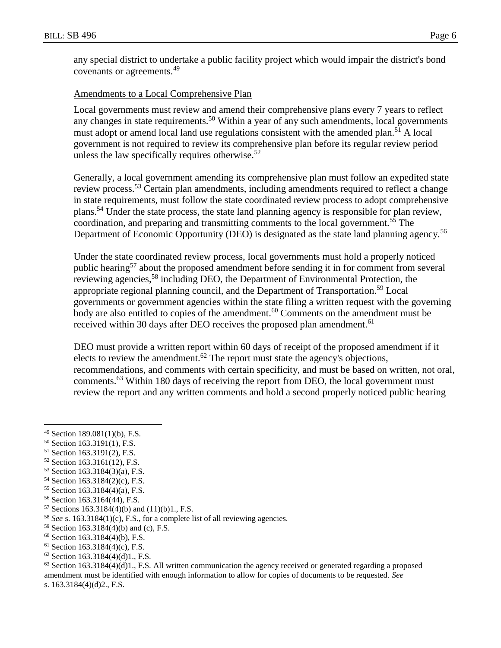any special district to undertake a public facility project which would impair the district's bond covenants or agreements.<sup>49</sup>

# Amendments to a Local Comprehensive Plan

Local governments must review and amend their comprehensive plans every 7 years to reflect any changes in state requirements.<sup>50</sup> Within a year of any such amendments, local governments must adopt or amend local land use regulations consistent with the amended plan.<sup>51</sup> A local government is not required to review its comprehensive plan before its regular review period unless the law specifically requires otherwise.<sup>52</sup>

Generally, a local government amending its comprehensive plan must follow an expedited state review process.<sup>53</sup> Certain plan amendments, including amendments required to reflect a change in state requirements, must follow the state coordinated review process to adopt comprehensive plans.<sup>54</sup> Under the state process, the state land planning agency is responsible for plan review, coordination, and preparing and transmitting comments to the local government.<sup>55</sup> The Department of Economic Opportunity (DEO) is designated as the state land planning agency.<sup>56</sup>

Under the state coordinated review process, local governments must hold a properly noticed public hearing<sup>57</sup> about the proposed amendment before sending it in for comment from several reviewing agencies,<sup>58</sup> including DEO, the Department of Environmental Protection, the appropriate regional planning council, and the Department of Transportation.<sup>59</sup> Local governments or government agencies within the state filing a written request with the governing body are also entitled to copies of the amendment.<sup>60</sup> Comments on the amendment must be received within 30 days after DEO receives the proposed plan amendment.<sup>61</sup>

DEO must provide a written report within 60 days of receipt of the proposed amendment if it elects to review the amendment.<sup>62</sup> The report must state the agency's objections, recommendations, and comments with certain specificity, and must be based on written, not oral, comments.<sup>63</sup> Within 180 days of receiving the report from DEO, the local government must review the report and any written comments and hold a second properly noticed public hearing

 $\overline{a}$ 

- <sup>50</sup> Section 163.3191(1), F.S.
- <sup>51</sup> Section 163.3191(2), F.S.
- <sup>52</sup> Section 163.3161(12), F.S.
- <sup>53</sup> Section 163.3184(3)(a), F.S.
- <sup>54</sup> Section 163.3184(2)(c), F.S.
- <sup>55</sup> Section 163.3184(4)(a), F.S.
- <sup>56</sup> Section 163.3164(44), F.S.
- <sup>57</sup> Sections 163.3184(4)(b) and (11)(b)1., F.S.
- <sup>58</sup> *See* s. 163.3184(1)(c), F.S., for a complete list of all reviewing agencies.
- <sup>59</sup> Section 163.3184(4)(b) and (c), F.S.
- $60$  Section 163.3184(4)(b), F.S.
- $61$  Section 163.3184(4)(c), F.S.
- $62$  Section 163.3184(4)(d)1., F.S.

 $63$  Section 163.3184(4)(d)1., F.S. All written communication the agency received or generated regarding a proposed amendment must be identified with enough information to allow for copies of documents to be requested. *See*

<sup>49</sup> Section 189.081(1)(b), F.S.

s. 163.3184(4)(d)2., F.S.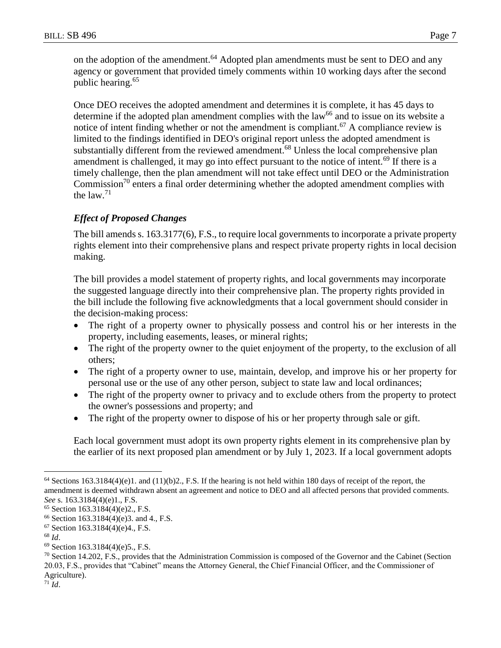on the adoption of the amendment.<sup>64</sup> Adopted plan amendments must be sent to DEO and any agency or government that provided timely comments within 10 working days after the second public hearing.<sup>65</sup>

Once DEO receives the adopted amendment and determines it is complete, it has 45 days to determine if the adopted plan amendment complies with the  $law<sup>66</sup>$  and to issue on its website a notice of intent finding whether or not the amendment is compliant.<sup>67</sup> A compliance review is limited to the findings identified in DEO's original report unless the adopted amendment is substantially different from the reviewed amendment.<sup>68</sup> Unless the local comprehensive plan amendment is challenged, it may go into effect pursuant to the notice of intent.<sup>69</sup> If there is a timely challenge, then the plan amendment will not take effect until DEO or the Administration Commission<sup>70</sup> enters a final order determining whether the adopted amendment complies with the  $law.<sup>71</sup>$ 

# *Effect of Proposed Changes*

The bill amends s. 163.3177(6), F.S., to require local governments to incorporate a private property rights element into their comprehensive plans and respect private property rights in local decision making.

The bill provides a model statement of property rights, and local governments may incorporate the suggested language directly into their comprehensive plan. The property rights provided in the bill include the following five acknowledgments that a local government should consider in the decision-making process:

- The right of a property owner to physically possess and control his or her interests in the property, including easements, leases, or mineral rights;
- The right of the property owner to the quiet enjoyment of the property, to the exclusion of all others;
- The right of a property owner to use, maintain, develop, and improve his or her property for personal use or the use of any other person, subject to state law and local ordinances;
- The right of the property owner to privacy and to exclude others from the property to protect the owner's possessions and property; and
- The right of the property owner to dispose of his or her property through sale or gift.

Each local government must adopt its own property rights element in its comprehensive plan by the earlier of its next proposed plan amendment or by July 1, 2023. If a local government adopts

 $\overline{a}$ 

<sup>71</sup> *Id*.

 $64$  Sections 163.3184(4)(e)1. and (11)(b)2., F.S. If the hearing is not held within 180 days of receipt of the report, the amendment is deemed withdrawn absent an agreement and notice to DEO and all affected persons that provided comments. *See* s. 163.3184(4)(e)1., F.S.

<sup>65</sup> Section 163.3184(4)(e)2., F.S.

<sup>66</sup> Section 163.3184(4)(e)3. and 4., F.S.

<sup>67</sup> Section 163.3184(4)(e)4., F.S.

<sup>68</sup> *Id*.

<sup>69</sup> Section 163.3184(4)(e)5., F.S.

<sup>70</sup> Section 14.202, F.S., provides that the Administration Commission is composed of the Governor and the Cabinet (Section 20.03, F.S., provides that "Cabinet" means the Attorney General, the Chief Financial Officer, and the Commissioner of Agriculture).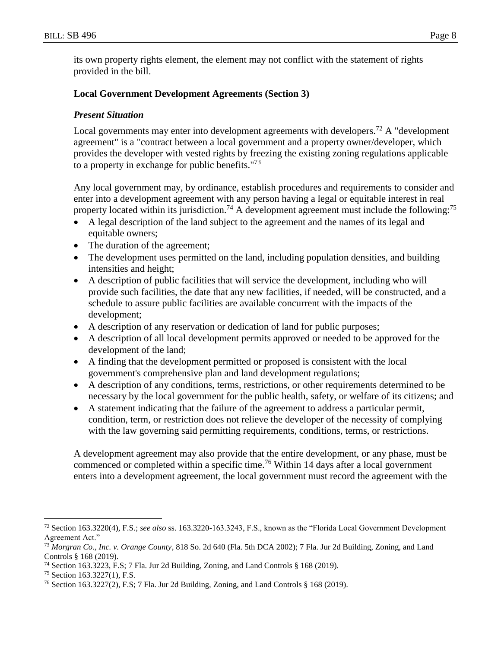its own property rights element, the element may not conflict with the statement of rights provided in the bill.

### **Local Government Development Agreements (Section 3)**

### *Present Situation*

Local governments may enter into development agreements with developers.<sup>72</sup> A "development" agreement" is a "contract between a local government and a property owner/developer, which provides the developer with vested rights by freezing the existing zoning regulations applicable to a property in exchange for public benefits."<sup>73</sup>

Any local government may, by ordinance, establish procedures and requirements to consider and enter into a development agreement with any person having a legal or equitable interest in real property located within its jurisdiction.<sup>74</sup> A development agreement must include the following:<sup>75</sup>

- A legal description of the land subject to the agreement and the names of its legal and equitable owners;
- The duration of the agreement;
- The development uses permitted on the land, including population densities, and building intensities and height;
- A description of public facilities that will service the development, including who will provide such facilities, the date that any new facilities, if needed, will be constructed, and a schedule to assure public facilities are available concurrent with the impacts of the development;
- A description of any reservation or dedication of land for public purposes;
- A description of all local development permits approved or needed to be approved for the development of the land;
- A finding that the development permitted or proposed is consistent with the local government's comprehensive plan and land development regulations;
- A description of any conditions, terms, restrictions, or other requirements determined to be necessary by the local government for the public health, safety, or welfare of its citizens; and
- A statement indicating that the failure of the agreement to address a particular permit, condition, term, or restriction does not relieve the developer of the necessity of complying with the law governing said permitting requirements, conditions, terms, or restrictions.

A development agreement may also provide that the entire development, or any phase, must be commenced or completed within a specific time.<sup>76</sup> Within 14 days after a local government enters into a development agreement, the local government must record the agreement with the

<sup>72</sup> Section 163.3220(4), F.S.; *see also* ss. 163.3220-163.3243, F.S., known as the "Florida Local Government Development Agreement Act."

<sup>73</sup> *Morgran Co., Inc. v. Orange County*, 818 So. 2d 640 (Fla. 5th DCA 2002); 7 Fla. Jur 2d Building, Zoning, and Land Controls § 168 (2019).

<sup>74</sup> Section 163.3223, F.S; 7 Fla. Jur 2d Building, Zoning, and Land Controls § 168 (2019).

<sup>75</sup> Section 163.3227(1), F.S.

<sup>76</sup> Section 163.3227(2), F.S; 7 Fla. Jur 2d Building, Zoning, and Land Controls § 168 (2019).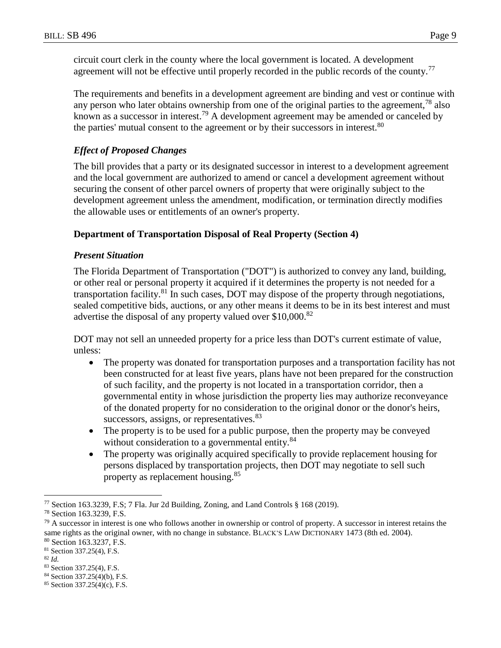circuit court clerk in the county where the local government is located. A development agreement will not be effective until properly recorded in the public records of the county.<sup>77</sup>

The requirements and benefits in a development agreement are binding and vest or continue with any person who later obtains ownership from one of the original parties to the agreement,<sup>78</sup> also known as a successor in interest.<sup>79</sup> A development agreement may be amended or canceled by the parties' mutual consent to the agreement or by their successors in interest.<sup>80</sup>

# *Effect of Proposed Changes*

The bill provides that a party or its designated successor in interest to a development agreement and the local government are authorized to amend or cancel a development agreement without securing the consent of other parcel owners of property that were originally subject to the development agreement unless the amendment, modification, or termination directly modifies the allowable uses or entitlements of an owner's property.

## **Department of Transportation Disposal of Real Property (Section 4)**

### *Present Situation*

The Florida Department of Transportation ("DOT") is authorized to convey any land, building, or other real or personal property it acquired if it determines the property is not needed for a transportation facility.<sup>81</sup> In such cases, DOT may dispose of the property through negotiations, sealed competitive bids, auctions, or any other means it deems to be in its best interest and must advertise the disposal of any property valued over  $$10,000$ .<sup>82</sup>

DOT may not sell an unneeded property for a price less than DOT's current estimate of value, unless:

- The property was donated for transportation purposes and a transportation facility has not been constructed for at least five years, plans have not been prepared for the construction of such facility, and the property is not located in a transportation corridor, then a governmental entity in whose jurisdiction the property lies may authorize reconveyance of the donated property for no consideration to the original donor or the donor's heirs, successors, assigns, or representatives.<sup>83</sup>
- The property is to be used for a public purpose, then the property may be conveyed without consideration to a governmental entity.<sup>84</sup>
- The property was originally acquired specifically to provide replacement housing for persons displaced by transportation projects, then DOT may negotiate to sell such property as replacement housing.<sup>85</sup>

<sup>82</sup> *Id.*

<sup>77</sup> Section 163.3239, F.S; 7 Fla. Jur 2d Building, Zoning, and Land Controls § 168 (2019).

<sup>78</sup> Section 163.3239, F.S.

 $79$  A successor in interest is one who follows another in ownership or control of property. A successor in interest retains the same rights as the original owner, with no change in substance. BLACK'S LAW DICTIONARY 1473 (8th ed. 2004).

<sup>80</sup> Section 163.3237, F.S.

<sup>81</sup> Section 337.25(4), F.S.

<sup>83</sup> Section 337.25(4), F.S.

<sup>84</sup> Section 337.25(4)(b), F.S.

<sup>85</sup> Section 337.25(4)(c), F.S.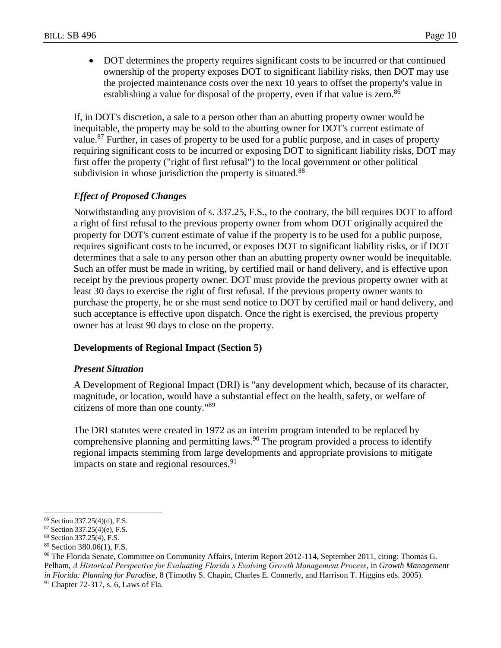DOT determines the property requires significant costs to be incurred or that continued ownership of the property exposes DOT to significant liability risks, then DOT may use the projected maintenance costs over the next 10 years to offset the property's value in establishing a value for disposal of the property, even if that value is zero.<sup>86</sup>

If, in DOT's discretion, a sale to a person other than an abutting property owner would be inequitable, the property may be sold to the abutting owner for DOT's current estimate of value.<sup>87</sup> Further, in cases of property to be used for a public purpose, and in cases of property requiring significant costs to be incurred or exposing DOT to significant liability risks, DOT may first offer the property ("right of first refusal") to the local government or other political subdivision in whose jurisdiction the property is situated.<sup>88</sup>

# *Effect of Proposed Changes*

Notwithstanding any provision of s. 337.25, F.S., to the contrary, the bill requires DOT to afford a right of first refusal to the previous property owner from whom DOT originally acquired the property for DOT's current estimate of value if the property is to be used for a public purpose, requires significant costs to be incurred, or exposes DOT to significant liability risks, or if DOT determines that a sale to any person other than an abutting property owner would be inequitable. Such an offer must be made in writing, by certified mail or hand delivery, and is effective upon receipt by the previous property owner. DOT must provide the previous property owner with at least 30 days to exercise the right of first refusal. If the previous property owner wants to purchase the property, he or she must send notice to DOT by certified mail or hand delivery, and such acceptance is effective upon dispatch. Once the right is exercised, the previous property owner has at least 90 days to close on the property.

## **Developments of Regional Impact (Section 5)**

#### *Present Situation*

A Development of Regional Impact (DRI) is "any development which, because of its character, magnitude, or location, would have a substantial effect on the health, safety, or welfare of citizens of more than one county." 89

The DRI statutes were created in 1972 as an interim program intended to be replaced by comprehensive planning and permitting laws.<sup>90</sup> The program provided a process to identify regional impacts stemming from large developments and appropriate provisions to mitigate impacts on state and regional resources.<sup>91</sup>

<sup>86</sup> Section 337.25(4)(d), F.S.

<sup>87</sup> Section 337.25(4)(e), F.S.

<sup>88</sup> Section 337.25(4), F.S.

<sup>89</sup> Section 380.06(1), F.S.

<sup>90</sup> The Florida Senate, Committee on Community Affairs, Interim Report 2012-114, September 2011, citing: Thomas G. Pelham, *A Historical Perspective for Evaluating Florida's Evolving Growth Management Process*, in *Growth Management in Florida: Planning for Paradise*, 8 (Timothy S. Chapin, Charles E. Connerly, and Harrison T. Higgins eds. 2005).

 $91$  Chapter 72-317, s. 6, Laws of Fla.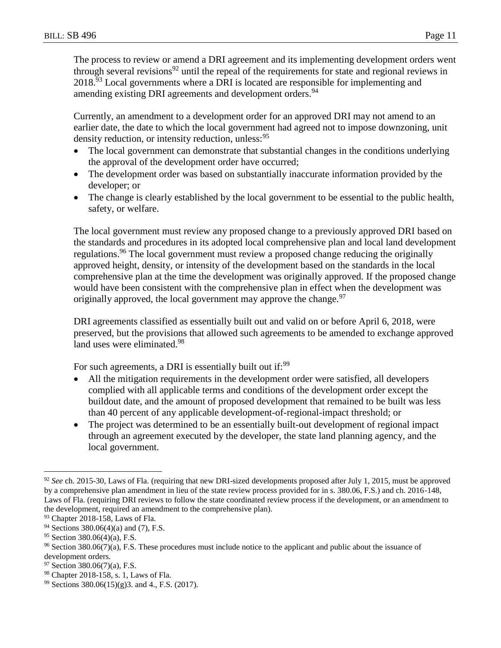The process to review or amend a DRI agreement and its implementing development orders went through several revisions<sup>92</sup> until the repeal of the requirements for state and regional reviews in  $2018.<sup>93</sup>$  Local governments where a DRI is located are responsible for implementing and amending existing DRI agreements and development orders.<sup>94</sup>

Currently, an amendment to a development order for an approved DRI may not amend to an earlier date, the date to which the local government had agreed not to impose downzoning, unit density reduction, or intensity reduction, unless: <sup>95</sup>

- The local government can demonstrate that substantial changes in the conditions underlying the approval of the development order have occurred;
- The development order was based on substantially inaccurate information provided by the developer; or
- The change is clearly established by the local government to be essential to the public health, safety, or welfare.

The local government must review any proposed change to a previously approved DRI based on the standards and procedures in its adopted local comprehensive plan and local land development regulations.<sup>96</sup> The local government must review a proposed change reducing the originally approved height, density, or intensity of the development based on the standards in the local comprehensive plan at the time the development was originally approved. If the proposed change would have been consistent with the comprehensive plan in effect when the development was originally approved, the local government may approve the change.  $97$ 

DRI agreements classified as essentially built out and valid on or before April 6, 2018, were preserved, but the provisions that allowed such agreements to be amended to exchange approved land uses were eliminated.<sup>98</sup>

For such agreements, a DRI is essentially built out if:<sup>99</sup>

- All the mitigation requirements in the development order were satisfied, all developers complied with all applicable terms and conditions of the development order except the buildout date, and the amount of proposed development that remained to be built was less than 40 percent of any applicable development-of-regional-impact threshold; or
- The project was determined to be an essentially built-out development of regional impact through an agreement executed by the developer, the state land planning agency, and the local government.

<sup>&</sup>lt;sup>92</sup> See ch. 2015-30, Laws of Fla. (requiring that new DRI-sized developments proposed after July 1, 2015, must be approved by a comprehensive plan amendment in lieu of the state review process provided for in s. 380.06, F.S.) and ch. 2016-148, Laws of Fla. (requiring DRI reviews to follow the state coordinated review process if the development, or an amendment to the development, required an amendment to the comprehensive plan).

<sup>&</sup>lt;sup>93</sup> Chapter 2018-158, Laws of Fla.

<sup>&</sup>lt;sup>94</sup> Sections 380.06(4)(a) and (7), F.S.

 $95$  Section 380.06(4)(a), F.S.

<sup>96</sup> Section 380.06(7)(a), F.S. These procedures must include notice to the applicant and public about the issuance of development orders.

 $97$  Section 380.06(7)(a), F.S.

<sup>98</sup> Chapter 2018-158, s. 1, Laws of Fla.

<sup>99</sup> Sections 380.06(15)(g)3. and 4., F.S. (2017).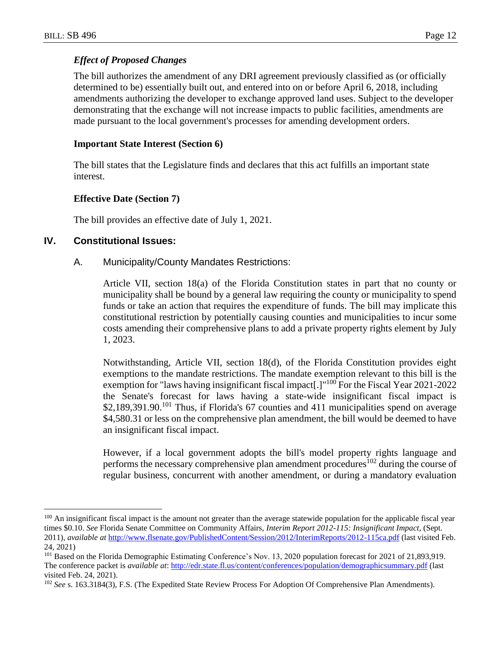### *Effect of Proposed Changes*

The bill authorizes the amendment of any DRI agreement previously classified as (or officially determined to be) essentially built out, and entered into on or before April 6, 2018, including amendments authorizing the developer to exchange approved land uses. Subject to the developer demonstrating that the exchange will not increase impacts to public facilities, amendments are made pursuant to the local government's processes for amending development orders.

#### **Important State Interest (Section 6)**

The bill states that the Legislature finds and declares that this act fulfills an important state interest.

### **Effective Date (Section 7)**

The bill provides an effective date of July 1, 2021.

## **IV. Constitutional Issues:**

 $\overline{a}$ 

### A. Municipality/County Mandates Restrictions:

Article VII, section 18(a) of the Florida Constitution states in part that no county or municipality shall be bound by a general law requiring the county or municipality to spend funds or take an action that requires the expenditure of funds. The bill may implicate this constitutional restriction by potentially causing counties and municipalities to incur some costs amending their comprehensive plans to add a private property rights element by July 1, 2023.

Notwithstanding, Article VII, section 18(d), of the Florida Constitution provides eight exemptions to the mandate restrictions. The mandate exemption relevant to this bill is the exemption for "laws having insignificant fiscal impact[.]"<sup>100</sup> For the Fiscal Year 2021-2022 the Senate's forecast for laws having a state-wide insignificant fiscal impact is \$2,189,391.90.<sup>101</sup> Thus, if Florida's 67 counties and 411 municipalities spend on average \$4,580.31 or less on the comprehensive plan amendment, the bill would be deemed to have an insignificant fiscal impact.

However, if a local government adopts the bill's model property rights language and performs the necessary comprehensive plan amendment procedures<sup>102</sup> during the course of regular business, concurrent with another amendment, or during a mandatory evaluation

<sup>&</sup>lt;sup>100</sup> An insignificant fiscal impact is the amount not greater than the average statewide population for the applicable fiscal year times \$0.10. *See* Florida Senate Committee on Community Affairs, *Interim Report 2012-115: Insignificant Impact*, (Sept. 2011), *available at* <http://www.flsenate.gov/PublishedContent/Session/2012/InterimReports/2012-115ca.pdf> (last visited Feb. 24, 2021)

<sup>&</sup>lt;sup>101</sup> Based on the Florida Demographic Estimating Conference's Nov. 13, 2020 population forecast for 2021 of 21,893,919. The conference packet is *available at*: <http://edr.state.fl.us/content/conferences/population/demographicsummary.pdf> (last visited Feb. 24, 2021).

<sup>&</sup>lt;sup>102</sup> See s. 163.3184(3), F.S. (The Expedited State Review Process For Adoption Of Comprehensive Plan Amendments).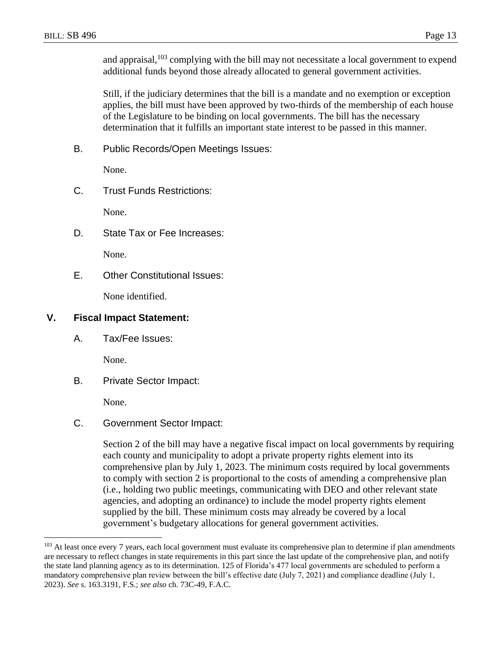and appraisal, <sup>103</sup> complying with the bill may not necessitate a local government to expend additional funds beyond those already allocated to general government activities.

Still, if the judiciary determines that the bill is a mandate and no exemption or exception applies, the bill must have been approved by two-thirds of the membership of each house of the Legislature to be binding on local governments. The bill has the necessary determination that it fulfills an important state interest to be passed in this manner.

B. Public Records/Open Meetings Issues:

None.

C. Trust Funds Restrictions:

None.

D. State Tax or Fee Increases:

None.

E. Other Constitutional Issues:

None identified.

# **V. Fiscal Impact Statement:**

A. Tax/Fee Issues:

None.

B. Private Sector Impact:

None.

 $\overline{a}$ 

C. Government Sector Impact:

Section 2 of the bill may have a negative fiscal impact on local governments by requiring each county and municipality to adopt a private property rights element into its comprehensive plan by July 1, 2023. The minimum costs required by local governments to comply with section 2 is proportional to the costs of amending a comprehensive plan (i.e., holding two public meetings, communicating with DEO and other relevant state agencies, and adopting an ordinance) to include the model property rights element supplied by the bill. These minimum costs may already be covered by a local government's budgetary allocations for general government activities.

<sup>&</sup>lt;sup>103</sup> At least once every 7 years, each local government must evaluate its comprehensive plan to determine if plan amendments are necessary to reflect changes in state requirements in this part since the last update of the comprehensive plan, and notify the state land planning agency as to its determination. 125 of Florida's 477 local governments are scheduled to perform a mandatory comprehensive plan review between the bill's effective date (July 7, 2021) and compliance deadline (July 1, 2023). *See* s. 163.3191, F.S.; *see also* ch. 73C-49, F.A.C.